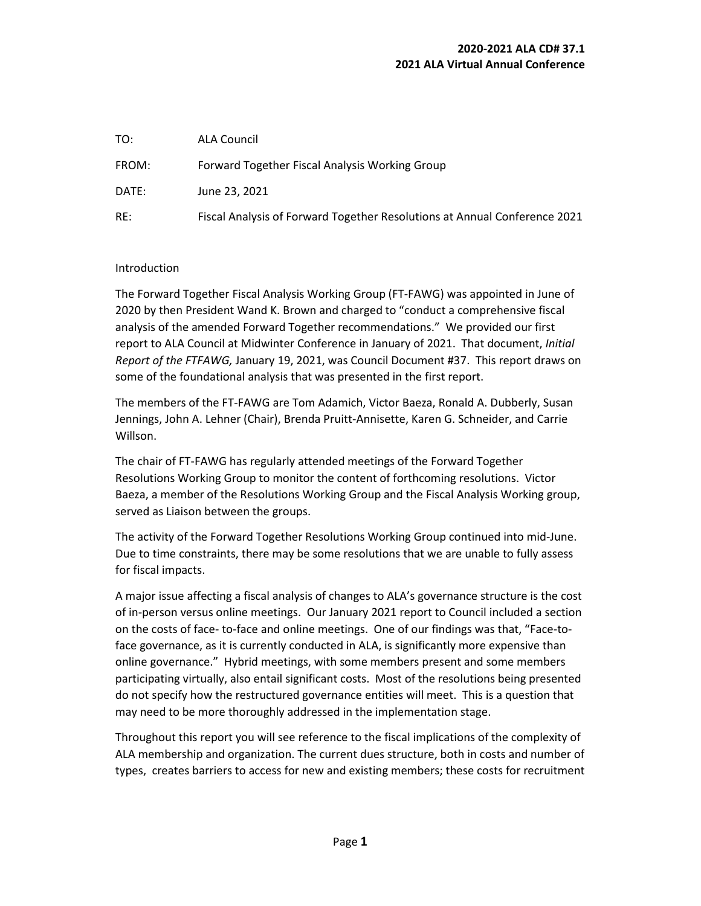| TO:   | <b>ALA Council</b>                                                        |
|-------|---------------------------------------------------------------------------|
| FROM: | Forward Together Fiscal Analysis Working Group                            |
| DATE: | June 23, 2021                                                             |
| RE:   | Fiscal Analysis of Forward Together Resolutions at Annual Conference 2021 |

#### Introduction

The Forward Together Fiscal Analysis Working Group (FT-FAWG) was appointed in June of 2020 by then President Wand K. Brown and charged to "conduct a comprehensive fiscal analysis of the amended Forward Together recommendations." We provided our first report to ALA Council at Midwinter Conference in January of 2021. That document, *Initial Report of the FTFAWG,* January 19, 2021, was Council Document #37. This report draws on some of the foundational analysis that was presented in the first report.

The members of the FT-FAWG are Tom Adamich, Victor Baeza, Ronald A. Dubberly, Susan Jennings, John A. Lehner (Chair), Brenda Pruitt-Annisette, Karen G. Schneider, and Carrie Willson.

The chair of FT-FAWG has regularly attended meetings of the Forward Together Resolutions Working Group to monitor the content of forthcoming resolutions. Victor Baeza, a member of the Resolutions Working Group and the Fiscal Analysis Working group, served as Liaison between the groups.

The activity of the Forward Together Resolutions Working Group continued into mid-June. Due to time constraints, there may be some resolutions that we are unable to fully assess for fiscal impacts.

A major issue affecting a fiscal analysis of changes to ALA's governance structure is the cost of in-person versus online meetings. Our January 2021 report to Council included a section on the costs of face- to-face and online meetings. One of our findings was that, "Face-toface governance, as it is currently conducted in ALA, is significantly more expensive than online governance." Hybrid meetings, with some members present and some members participating virtually, also entail significant costs. Most of the resolutions being presented do not specify how the restructured governance entities will meet. This is a question that may need to be more thoroughly addressed in the implementation stage.

Throughout this report you will see reference to the fiscal implications of the complexity of ALA membership and organization. The current dues structure, both in costs and number of types, creates barriers to access for new and existing members; these costs for recruitment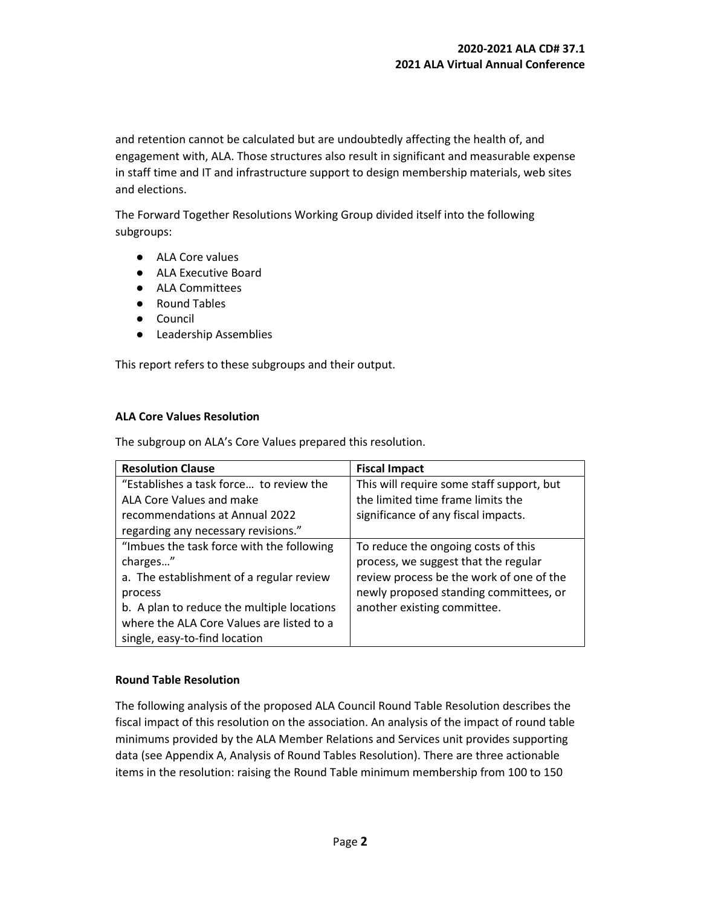and retention cannot be calculated but are undoubtedly affecting the health of, and engagement with, ALA. Those structures also result in significant and measurable expense in staff time and IT and infrastructure support to design membership materials, web sites and elections.

The Forward Together Resolutions Working Group divided itself into the following subgroups:

- ALA Core values
- ALA Executive Board
- ALA Committees
- Round Tables
- Council
- Leadership Assemblies

This report refers to these subgroups and their output.

#### **ALA Core Values Resolution**

The subgroup on ALA's Core Values prepared this resolution.

| <b>Resolution Clause</b>                   | <b>Fiscal Impact</b>                      |
|--------------------------------------------|-------------------------------------------|
| "Establishes a task force to review the    | This will require some staff support, but |
| ALA Core Values and make                   | the limited time frame limits the         |
| recommendations at Annual 2022             | significance of any fiscal impacts.       |
| regarding any necessary revisions."        |                                           |
| "Imbues the task force with the following  | To reduce the ongoing costs of this       |
| charges"                                   | process, we suggest that the regular      |
| a. The establishment of a regular review   | review process be the work of one of the  |
| process                                    | newly proposed standing committees, or    |
| b. A plan to reduce the multiple locations | another existing committee.               |
| where the ALA Core Values are listed to a  |                                           |
| single, easy-to-find location              |                                           |

#### **Round Table Resolution**

The following analysis of the proposed ALA Council Round Table Resolution describes the fiscal impact of this resolution on the association. An analysis of the impact of round table minimums provided by the ALA Member Relations and Services unit provides supporting data (see Appendix A, Analysis of Round Tables Resolution). There are three actionable items in the resolution: raising the Round Table minimum membership from 100 to 150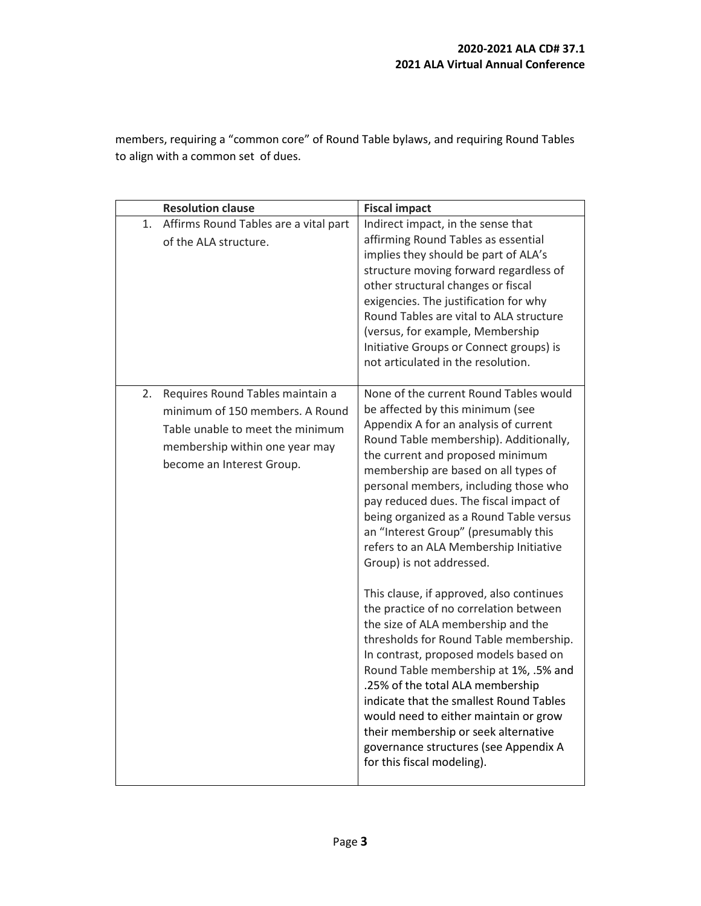members, requiring a "common core" of Round Table bylaws, and requiring Round Tables to align with a common set of dues.

| <b>Resolution clause</b>                                                                                                                                                     | <b>Fiscal impact</b>                                                                                                                                                                                                                                                                                                                                                                                                                                                                                                                                                                                                                                                                                                                                                                                                         |
|------------------------------------------------------------------------------------------------------------------------------------------------------------------------------|------------------------------------------------------------------------------------------------------------------------------------------------------------------------------------------------------------------------------------------------------------------------------------------------------------------------------------------------------------------------------------------------------------------------------------------------------------------------------------------------------------------------------------------------------------------------------------------------------------------------------------------------------------------------------------------------------------------------------------------------------------------------------------------------------------------------------|
| Affirms Round Tables are a vital part<br>1.<br>of the ALA structure.                                                                                                         | Indirect impact, in the sense that<br>affirming Round Tables as essential<br>implies they should be part of ALA's<br>structure moving forward regardless of<br>other structural changes or fiscal<br>exigencies. The justification for why<br>Round Tables are vital to ALA structure<br>(versus, for example, Membership<br>Initiative Groups or Connect groups) is<br>not articulated in the resolution.                                                                                                                                                                                                                                                                                                                                                                                                                   |
| Requires Round Tables maintain a<br>2.<br>minimum of 150 members. A Round<br>Table unable to meet the minimum<br>membership within one year may<br>become an Interest Group. | None of the current Round Tables would<br>be affected by this minimum (see<br>Appendix A for an analysis of current<br>Round Table membership). Additionally,<br>the current and proposed minimum<br>membership are based on all types of<br>personal members, including those who<br>pay reduced dues. The fiscal impact of<br>being organized as a Round Table versus<br>an "Interest Group" (presumably this<br>refers to an ALA Membership Initiative<br>Group) is not addressed.<br>This clause, if approved, also continues<br>the practice of no correlation between<br>the size of ALA membership and the<br>thresholds for Round Table membership.<br>In contrast, proposed models based on<br>Round Table membership at 1%, .5% and<br>.25% of the total ALA membership<br>indicate that the smallest Round Tables |
|                                                                                                                                                                              | would need to either maintain or grow<br>their membership or seek alternative<br>governance structures (see Appendix A<br>for this fiscal modeling).                                                                                                                                                                                                                                                                                                                                                                                                                                                                                                                                                                                                                                                                         |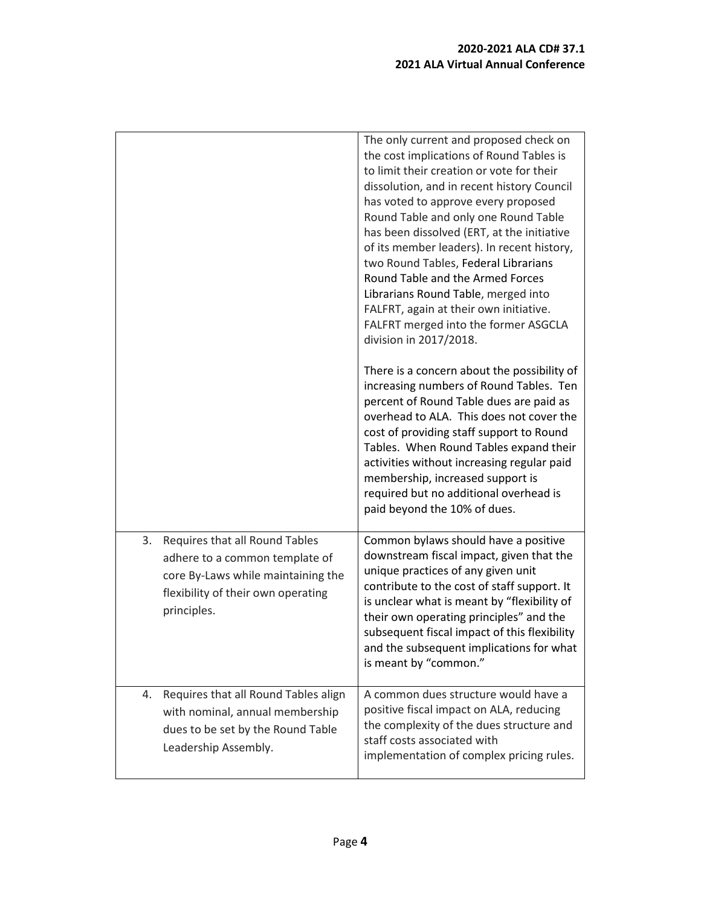|                                                                                                                                                                   | The only current and proposed check on<br>the cost implications of Round Tables is<br>to limit their creation or vote for their<br>dissolution, and in recent history Council<br>has voted to approve every proposed<br>Round Table and only one Round Table<br>has been dissolved (ERT, at the initiative<br>of its member leaders). In recent history,<br>two Round Tables, Federal Librarians<br>Round Table and the Armed Forces<br>Librarians Round Table, merged into<br>FALFRT, again at their own initiative.<br>FALFRT merged into the former ASGCLA<br>division in 2017/2018. |
|-------------------------------------------------------------------------------------------------------------------------------------------------------------------|-----------------------------------------------------------------------------------------------------------------------------------------------------------------------------------------------------------------------------------------------------------------------------------------------------------------------------------------------------------------------------------------------------------------------------------------------------------------------------------------------------------------------------------------------------------------------------------------|
|                                                                                                                                                                   | There is a concern about the possibility of<br>increasing numbers of Round Tables. Ten<br>percent of Round Table dues are paid as<br>overhead to ALA. This does not cover the<br>cost of providing staff support to Round<br>Tables. When Round Tables expand their<br>activities without increasing regular paid<br>membership, increased support is<br>required but no additional overhead is<br>paid beyond the 10% of dues.                                                                                                                                                         |
| Requires that all Round Tables<br>3.<br>adhere to a common template of<br>core By-Laws while maintaining the<br>flexibility of their own operating<br>principles. | Common bylaws should have a positive<br>downstream fiscal impact, given that the<br>unique practices of any given unit<br>contribute to the cost of staff support. It<br>is unclear what is meant by "flexibility of<br>their own operating principles" and the<br>subsequent fiscal impact of this flexibility<br>and the subsequent implications for what<br>is meant by "common."                                                                                                                                                                                                    |
| Requires that all Round Tables align<br>4.<br>with nominal, annual membership<br>dues to be set by the Round Table<br>Leadership Assembly.                        | A common dues structure would have a<br>positive fiscal impact on ALA, reducing<br>the complexity of the dues structure and<br>staff costs associated with<br>implementation of complex pricing rules.                                                                                                                                                                                                                                                                                                                                                                                  |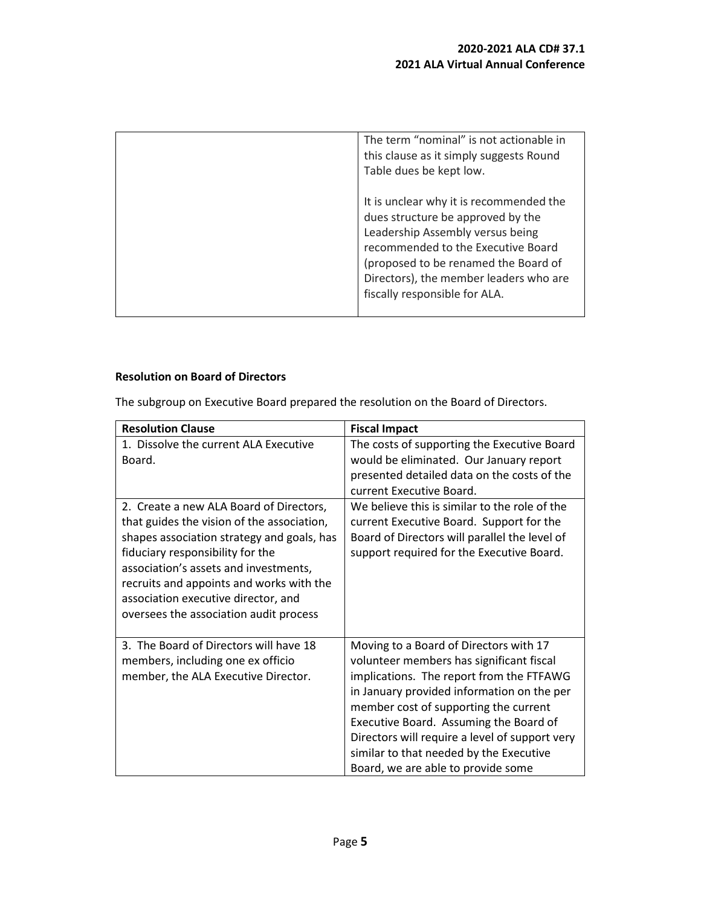| The term "nominal" is not actionable in<br>this clause as it simply suggests Round<br>Table dues be kept low.                                                                                                                                                             |
|---------------------------------------------------------------------------------------------------------------------------------------------------------------------------------------------------------------------------------------------------------------------------|
| It is unclear why it is recommended the<br>dues structure be approved by the<br>Leadership Assembly versus being<br>recommended to the Executive Board<br>(proposed to be renamed the Board of<br>Directors), the member leaders who are<br>fiscally responsible for ALA. |

# **Resolution on Board of Directors**

The subgroup on Executive Board prepared the resolution on the Board of Directors.

| <b>Resolution Clause</b>                   | <b>Fiscal Impact</b>                           |
|--------------------------------------------|------------------------------------------------|
| 1. Dissolve the current ALA Executive      | The costs of supporting the Executive Board    |
| Board.                                     | would be eliminated. Our January report        |
|                                            | presented detailed data on the costs of the    |
|                                            | current Executive Board.                       |
| 2. Create a new ALA Board of Directors,    | We believe this is similar to the role of the  |
| that guides the vision of the association, | current Executive Board. Support for the       |
| shapes association strategy and goals, has | Board of Directors will parallel the level of  |
| fiduciary responsibility for the           | support required for the Executive Board.      |
| association's assets and investments,      |                                                |
| recruits and appoints and works with the   |                                                |
| association executive director, and        |                                                |
| oversees the association audit process     |                                                |
|                                            |                                                |
| 3. The Board of Directors will have 18     | Moving to a Board of Directors with 17         |
| members, including one ex officio          | volunteer members has significant fiscal       |
| member, the ALA Executive Director.        | implications. The report from the FTFAWG       |
|                                            | in January provided information on the per     |
|                                            | member cost of supporting the current          |
|                                            | Executive Board. Assuming the Board of         |
|                                            | Directors will require a level of support very |
|                                            | similar to that needed by the Executive        |
|                                            | Board, we are able to provide some             |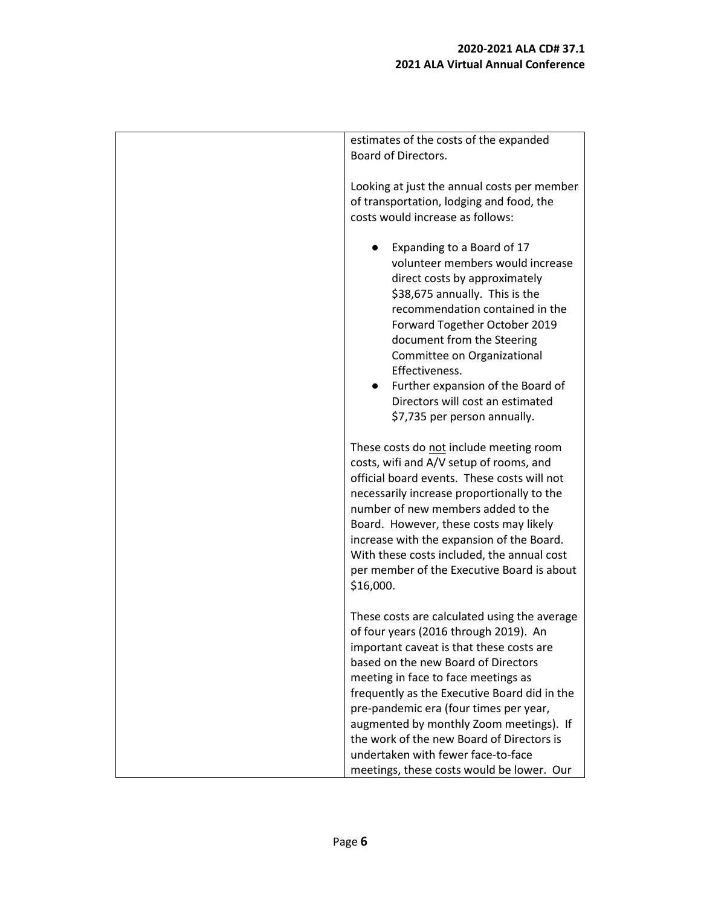| estimates of the costs of the expanded<br><b>Board of Directors.</b>                                                                                                                                                                                                                                                                                                                                                                                                                 |
|--------------------------------------------------------------------------------------------------------------------------------------------------------------------------------------------------------------------------------------------------------------------------------------------------------------------------------------------------------------------------------------------------------------------------------------------------------------------------------------|
| Looking at just the annual costs per member<br>of transportation, lodging and food, the<br>costs would increase as follows:                                                                                                                                                                                                                                                                                                                                                          |
| Expanding to a Board of 17<br>volunteer members would increase<br>direct costs by approximately<br>\$38,675 annually. This is the<br>recommendation contained in the<br>Forward Together October 2019<br>document from the Steering<br>Committee on Organizational<br>Effectiveness.<br>Further expansion of the Board of<br>Directors will cost an estimated<br>\$7,735 per person annually.                                                                                        |
| These costs do not include meeting room<br>costs, wifi and A/V setup of rooms, and<br>official board events. These costs will not<br>necessarily increase proportionally to the<br>number of new members added to the<br>Board. However, these costs may likely<br>increase with the expansion of the Board.<br>With these costs included, the annual cost<br>per member of the Executive Board is about<br>\$16,000.                                                                |
| These costs are calculated using the average<br>of four years (2016 through 2019). An<br>important caveat is that these costs are<br>based on the new Board of Directors<br>meeting in face to face meetings as<br>frequently as the Executive Board did in the<br>pre-pandemic era (four times per year,<br>augmented by monthly Zoom meetings). If<br>the work of the new Board of Directors is<br>undertaken with fewer face-to-face<br>meetings, these costs would be lower. Our |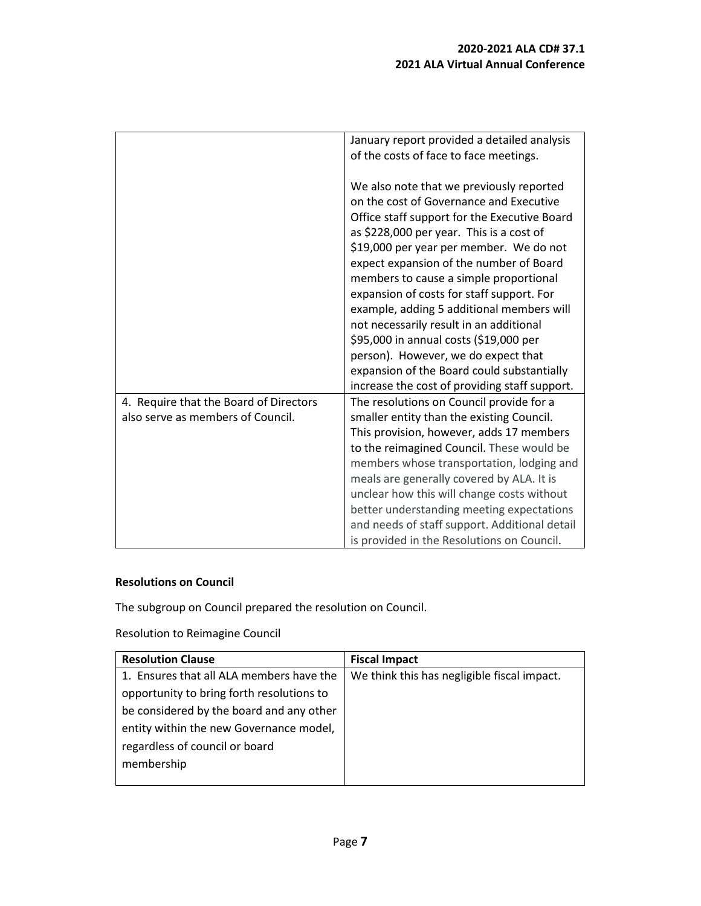|                                                                             | January report provided a detailed analysis<br>of the costs of face to face meetings.                                                                                                                                                                                                                                                                                                                                                                                                                                                                                                                                                |
|-----------------------------------------------------------------------------|--------------------------------------------------------------------------------------------------------------------------------------------------------------------------------------------------------------------------------------------------------------------------------------------------------------------------------------------------------------------------------------------------------------------------------------------------------------------------------------------------------------------------------------------------------------------------------------------------------------------------------------|
|                                                                             | We also note that we previously reported<br>on the cost of Governance and Executive<br>Office staff support for the Executive Board<br>as \$228,000 per year. This is a cost of<br>\$19,000 per year per member. We do not<br>expect expansion of the number of Board<br>members to cause a simple proportional<br>expansion of costs for staff support. For<br>example, adding 5 additional members will<br>not necessarily result in an additional<br>\$95,000 in annual costs (\$19,000 per<br>person). However, we do expect that<br>expansion of the Board could substantially<br>increase the cost of providing staff support. |
| 4. Require that the Board of Directors<br>also serve as members of Council. | The resolutions on Council provide for a<br>smaller entity than the existing Council.<br>This provision, however, adds 17 members<br>to the reimagined Council. These would be<br>members whose transportation, lodging and<br>meals are generally covered by ALA. It is<br>unclear how this will change costs without<br>better understanding meeting expectations<br>and needs of staff support. Additional detail<br>is provided in the Resolutions on Council.                                                                                                                                                                   |

# **Resolutions on Council**

The subgroup on Council prepared the resolution on Council.

Resolution to Reimagine Council

| <b>Resolution Clause</b>                  | <b>Fiscal Impact</b>                        |
|-------------------------------------------|---------------------------------------------|
| 1. Ensures that all ALA members have the  | We think this has negligible fiscal impact. |
| opportunity to bring forth resolutions to |                                             |
| be considered by the board and any other  |                                             |
| entity within the new Governance model,   |                                             |
| regardless of council or board            |                                             |
| membership                                |                                             |
|                                           |                                             |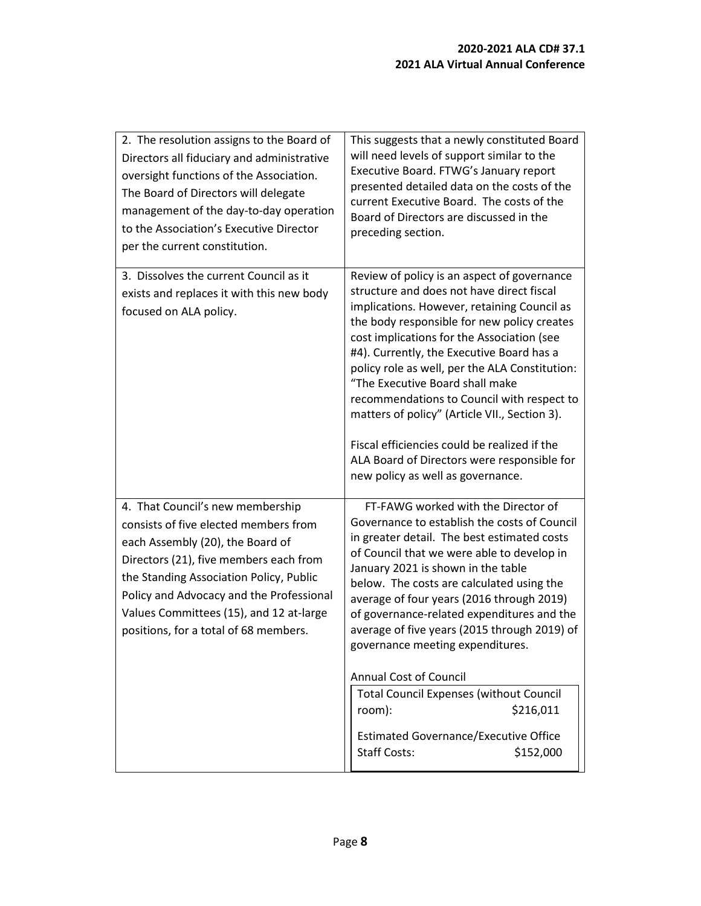| 2. The resolution assigns to the Board of<br>Directors all fiduciary and administrative<br>oversight functions of the Association.<br>The Board of Directors will delegate<br>management of the day-to-day operation<br>to the Association's Executive Director<br>per the current constitution.                                   | This suggests that a newly constituted Board<br>will need levels of support similar to the<br>Executive Board. FTWG's January report<br>presented detailed data on the costs of the<br>current Executive Board. The costs of the<br>Board of Directors are discussed in the<br>preceding section.                                                                                                                                                                                                                                                                                                         |
|------------------------------------------------------------------------------------------------------------------------------------------------------------------------------------------------------------------------------------------------------------------------------------------------------------------------------------|-----------------------------------------------------------------------------------------------------------------------------------------------------------------------------------------------------------------------------------------------------------------------------------------------------------------------------------------------------------------------------------------------------------------------------------------------------------------------------------------------------------------------------------------------------------------------------------------------------------|
| 3. Dissolves the current Council as it<br>exists and replaces it with this new body<br>focused on ALA policy.                                                                                                                                                                                                                      | Review of policy is an aspect of governance<br>structure and does not have direct fiscal<br>implications. However, retaining Council as<br>the body responsible for new policy creates<br>cost implications for the Association (see<br>#4). Currently, the Executive Board has a<br>policy role as well, per the ALA Constitution:<br>"The Executive Board shall make<br>recommendations to Council with respect to<br>matters of policy" (Article VII., Section 3).<br>Fiscal efficiencies could be realized if the<br>ALA Board of Directors were responsible for<br>new policy as well as governance. |
| 4. That Council's new membership<br>consists of five elected members from<br>each Assembly (20), the Board of<br>Directors (21), five members each from<br>the Standing Association Policy, Public<br>Policy and Advocacy and the Professional<br>Values Committees (15), and 12 at-large<br>positions, for a total of 68 members. | FT-FAWG worked with the Director of<br>Governance to establish the costs of Council<br>in greater detail. The best estimated costs<br>of Council that we were able to develop in<br>January 2021 is shown in the table<br>below. The costs are calculated using the<br>average of four years (2016 through 2019)<br>of governance-related expenditures and the<br>average of five years (2015 through 2019) of<br>governance meeting expenditures.<br><b>Annual Cost of Council</b><br><b>Total Council Expenses (without Council</b>                                                                     |
|                                                                                                                                                                                                                                                                                                                                    | \$216,011<br>room):<br><b>Estimated Governance/Executive Office</b><br><b>Staff Costs:</b><br>\$152,000                                                                                                                                                                                                                                                                                                                                                                                                                                                                                                   |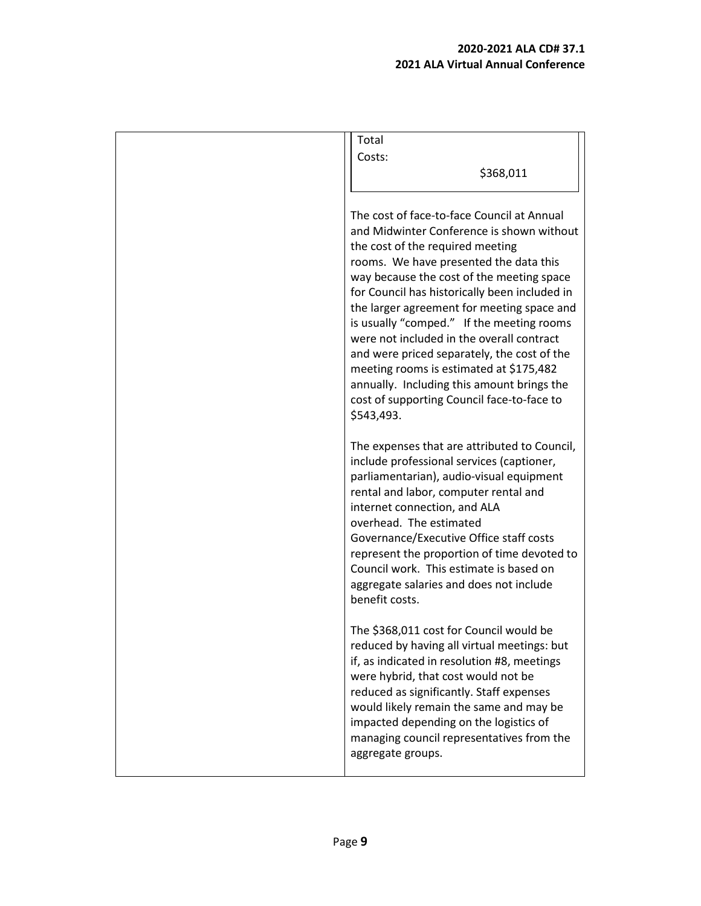| Total                                                                                                                                                                                                                                                                                                                                                                                                                                                                                                                                                                                                           |
|-----------------------------------------------------------------------------------------------------------------------------------------------------------------------------------------------------------------------------------------------------------------------------------------------------------------------------------------------------------------------------------------------------------------------------------------------------------------------------------------------------------------------------------------------------------------------------------------------------------------|
| Costs:                                                                                                                                                                                                                                                                                                                                                                                                                                                                                                                                                                                                          |
| \$368,011                                                                                                                                                                                                                                                                                                                                                                                                                                                                                                                                                                                                       |
|                                                                                                                                                                                                                                                                                                                                                                                                                                                                                                                                                                                                                 |
| The cost of face-to-face Council at Annual<br>and Midwinter Conference is shown without<br>the cost of the required meeting<br>rooms. We have presented the data this<br>way because the cost of the meeting space<br>for Council has historically been included in<br>the larger agreement for meeting space and<br>is usually "comped." If the meeting rooms<br>were not included in the overall contract<br>and were priced separately, the cost of the<br>meeting rooms is estimated at \$175,482<br>annually. Including this amount brings the<br>cost of supporting Council face-to-face to<br>\$543,493. |
| The expenses that are attributed to Council,<br>include professional services (captioner,<br>parliamentarian), audio-visual equipment<br>rental and labor, computer rental and<br>internet connection, and ALA<br>overhead. The estimated<br>Governance/Executive Office staff costs<br>represent the proportion of time devoted to<br>Council work. This estimate is based on<br>aggregate salaries and does not include<br>benefit costs.                                                                                                                                                                     |
| The \$368,011 cost for Council would be<br>reduced by having all virtual meetings: but<br>if, as indicated in resolution #8, meetings<br>were hybrid, that cost would not be<br>reduced as significantly. Staff expenses<br>would likely remain the same and may be<br>impacted depending on the logistics of<br>managing council representatives from the<br>aggregate groups.                                                                                                                                                                                                                                 |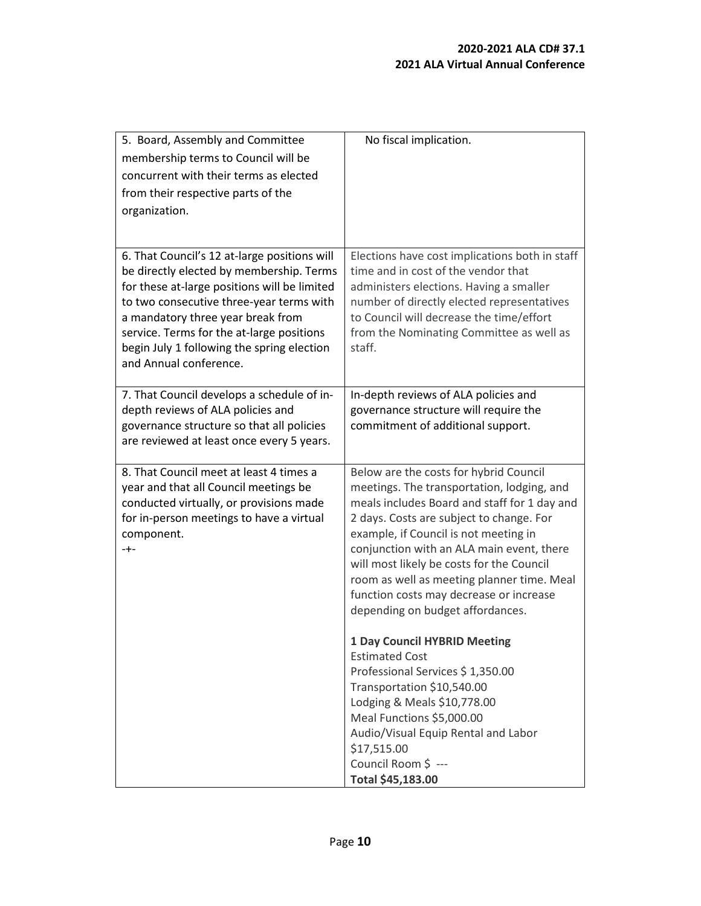| 5. Board, Assembly and Committee<br>membership terms to Council will be<br>concurrent with their terms as elected<br>from their respective parts of the<br>organization.                                                                                                                                                                       | No fiscal implication.                                                                                                                                                                                                                                                                                                                                                                                                                                                                                                                                                                                                                                                                                                                           |
|------------------------------------------------------------------------------------------------------------------------------------------------------------------------------------------------------------------------------------------------------------------------------------------------------------------------------------------------|--------------------------------------------------------------------------------------------------------------------------------------------------------------------------------------------------------------------------------------------------------------------------------------------------------------------------------------------------------------------------------------------------------------------------------------------------------------------------------------------------------------------------------------------------------------------------------------------------------------------------------------------------------------------------------------------------------------------------------------------------|
| 6. That Council's 12 at-large positions will<br>be directly elected by membership. Terms<br>for these at-large positions will be limited<br>to two consecutive three-year terms with<br>a mandatory three year break from<br>service. Terms for the at-large positions<br>begin July 1 following the spring election<br>and Annual conference. | Elections have cost implications both in staff<br>time and in cost of the vendor that<br>administers elections. Having a smaller<br>number of directly elected representatives<br>to Council will decrease the time/effort<br>from the Nominating Committee as well as<br>staff.                                                                                                                                                                                                                                                                                                                                                                                                                                                                 |
| 7. That Council develops a schedule of in-<br>depth reviews of ALA policies and<br>governance structure so that all policies<br>are reviewed at least once every 5 years.                                                                                                                                                                      | In-depth reviews of ALA policies and<br>governance structure will require the<br>commitment of additional support.                                                                                                                                                                                                                                                                                                                                                                                                                                                                                                                                                                                                                               |
| 8. That Council meet at least 4 times a<br>year and that all Council meetings be<br>conducted virtually, or provisions made<br>for in-person meetings to have a virtual<br>component.<br>-+-                                                                                                                                                   | Below are the costs for hybrid Council<br>meetings. The transportation, lodging, and<br>meals includes Board and staff for 1 day and<br>2 days. Costs are subject to change. For<br>example, if Council is not meeting in<br>conjunction with an ALA main event, there<br>will most likely be costs for the Council<br>room as well as meeting planner time. Meal<br>function costs may decrease or increase<br>depending on budget affordances.<br><b>1 Day Council HYBRID Meeting</b><br><b>Estimated Cost</b><br>Professional Services \$1,350.00<br>Transportation \$10,540.00<br>Lodging & Meals \$10,778.00<br>Meal Functions \$5,000.00<br>Audio/Visual Equip Rental and Labor<br>\$17,515.00<br>Council Room \$ ---<br>Total \$45,183.00 |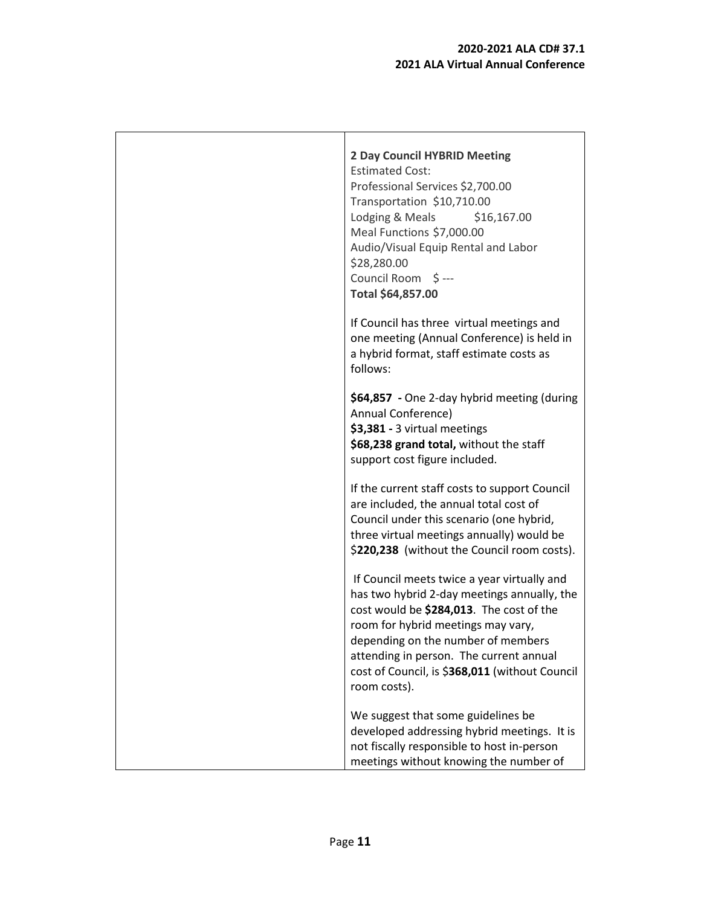| <b>2 Day Council HYBRID Meeting</b><br><b>Estimated Cost:</b><br>Professional Services \$2,700.00<br>Transportation \$10,710.00<br>Lodging & Meals<br>\$16,167.00<br>Meal Functions \$7,000.00<br>Audio/Visual Equip Rental and Labor<br>\$28,280.00<br>Council Room \$ ---<br>Total \$64,857.00                                |
|---------------------------------------------------------------------------------------------------------------------------------------------------------------------------------------------------------------------------------------------------------------------------------------------------------------------------------|
| If Council has three virtual meetings and<br>one meeting (Annual Conference) is held in<br>a hybrid format, staff estimate costs as<br>follows:                                                                                                                                                                                 |
| \$64,857 - One 2-day hybrid meeting (during<br>Annual Conference)<br>\$3,381 - 3 virtual meetings<br>\$68,238 grand total, without the staff<br>support cost figure included.                                                                                                                                                   |
| If the current staff costs to support Council<br>are included, the annual total cost of<br>Council under this scenario (one hybrid,<br>three virtual meetings annually) would be<br>\$220,238 (without the Council room costs).                                                                                                 |
| If Council meets twice a year virtually and<br>has two hybrid 2-day meetings annually, the<br>cost would be \$284,013. The cost of the<br>room for hybrid meetings may vary,<br>depending on the number of members<br>attending in person. The current annual<br>cost of Council, is \$368,011 (without Council<br>room costs). |
| We suggest that some guidelines be<br>developed addressing hybrid meetings. It is<br>not fiscally responsible to host in-person<br>meetings without knowing the number of                                                                                                                                                       |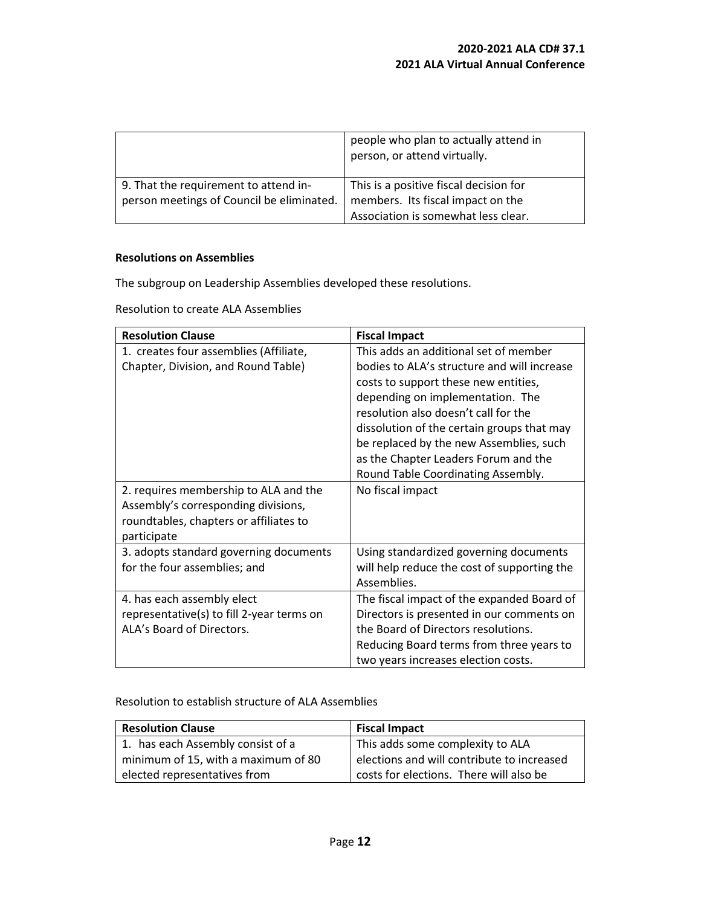|                                           | people who plan to actually attend in<br>person, or attend virtually. |
|-------------------------------------------|-----------------------------------------------------------------------|
| 9. That the requirement to attend in-     | This is a positive fiscal decision for                                |
| person meetings of Council be eliminated. | members. Its fiscal impact on the                                     |
|                                           | Association is somewhat less clear.                                   |

#### **Resolutions on Assemblies**

The subgroup on Leadership Assemblies developed these resolutions.

Resolution to create ALA Assemblies

| <b>Resolution Clause</b>                  | <b>Fiscal Impact</b>                        |  |  |  |  |  |
|-------------------------------------------|---------------------------------------------|--|--|--|--|--|
| 1. creates four assemblies (Affiliate,    | This adds an additional set of member       |  |  |  |  |  |
| Chapter, Division, and Round Table)       | bodies to ALA's structure and will increase |  |  |  |  |  |
|                                           | costs to support these new entities,        |  |  |  |  |  |
|                                           | depending on implementation. The            |  |  |  |  |  |
|                                           | resolution also doesn't call for the        |  |  |  |  |  |
|                                           | dissolution of the certain groups that may  |  |  |  |  |  |
|                                           | be replaced by the new Assemblies, such     |  |  |  |  |  |
|                                           | as the Chapter Leaders Forum and the        |  |  |  |  |  |
|                                           | Round Table Coordinating Assembly.          |  |  |  |  |  |
| 2. requires membership to ALA and the     | No fiscal impact                            |  |  |  |  |  |
| Assembly's corresponding divisions,       |                                             |  |  |  |  |  |
| roundtables, chapters or affiliates to    |                                             |  |  |  |  |  |
| participate                               |                                             |  |  |  |  |  |
| 3. adopts standard governing documents    | Using standardized governing documents      |  |  |  |  |  |
| for the four assemblies; and              | will help reduce the cost of supporting the |  |  |  |  |  |
|                                           | Assemblies.                                 |  |  |  |  |  |
| 4. has each assembly elect                | The fiscal impact of the expanded Board of  |  |  |  |  |  |
| representative(s) to fill 2-year terms on | Directors is presented in our comments on   |  |  |  |  |  |
| ALA's Board of Directors.                 | the Board of Directors resolutions.         |  |  |  |  |  |
|                                           | Reducing Board terms from three years to    |  |  |  |  |  |
|                                           | two years increases election costs.         |  |  |  |  |  |

Resolution to establish structure of ALA Assemblies

| <b>Resolution Clause</b>            | <b>Fiscal Impact</b>                       |  |  |  |  |  |
|-------------------------------------|--------------------------------------------|--|--|--|--|--|
| 1. has each Assembly consist of a   | This adds some complexity to ALA           |  |  |  |  |  |
| minimum of 15, with a maximum of 80 | elections and will contribute to increased |  |  |  |  |  |
| elected representatives from        | costs for elections. There will also be    |  |  |  |  |  |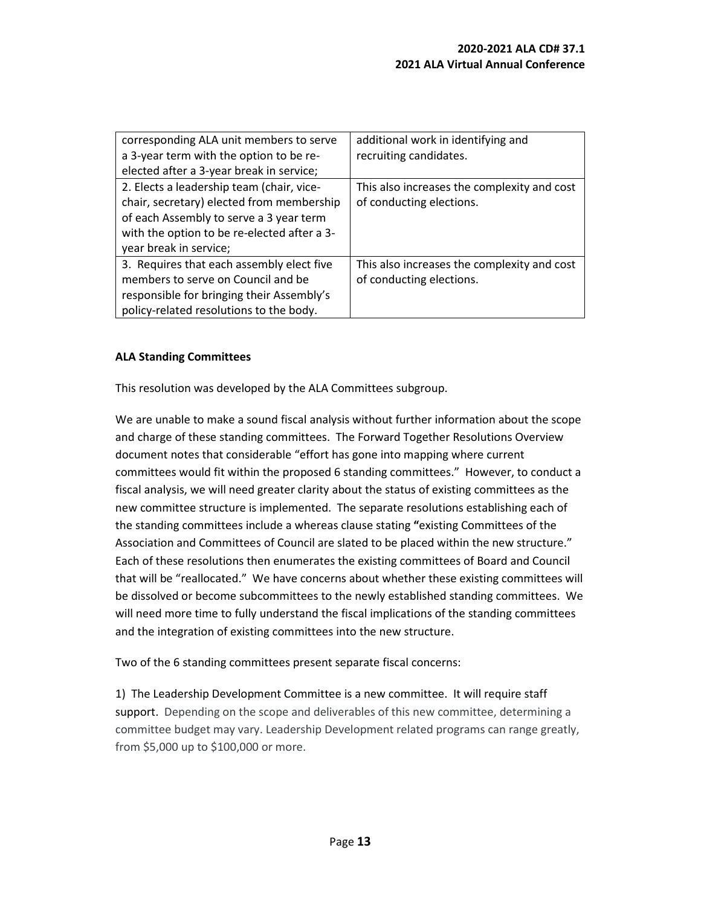| corresponding ALA unit members to serve<br>a 3-year term with the option to be re-                                                                                                                                                                     | additional work in identifying and<br>recruiting candidates.            |
|--------------------------------------------------------------------------------------------------------------------------------------------------------------------------------------------------------------------------------------------------------|-------------------------------------------------------------------------|
| elected after a 3-year break in service;<br>2. Elects a leadership team (chair, vice-<br>chair, secretary) elected from membership<br>of each Assembly to serve a 3 year term<br>with the option to be re-elected after a 3-<br>year break in service; | This also increases the complexity and cost<br>of conducting elections. |
| 3. Requires that each assembly elect five<br>members to serve on Council and be<br>responsible for bringing their Assembly's<br>policy-related resolutions to the body.                                                                                | This also increases the complexity and cost<br>of conducting elections. |

#### **ALA Standing Committees**

This resolution was developed by the ALA Committees subgroup.

We are unable to make a sound fiscal analysis without further information about the scope and charge of these standing committees. The Forward Together Resolutions Overview document notes that considerable "effort has gone into mapping where current committees would fit within the proposed 6 standing committees." However, to conduct a fiscal analysis, we will need greater clarity about the status of existing committees as the new committee structure is implemented. The separate resolutions establishing each of the standing committees include a whereas clause stating **"**existing Committees of the Association and Committees of Council are slated to be placed within the new structure." Each of these resolutions then enumerates the existing committees of Board and Council that will be "reallocated." We have concerns about whether these existing committees will be dissolved or become subcommittees to the newly established standing committees. We will need more time to fully understand the fiscal implications of the standing committees and the integration of existing committees into the new structure.

Two of the 6 standing committees present separate fiscal concerns:

1) The Leadership Development Committee is a new committee. It will require staff support. Depending on the scope and deliverables of this new committee, determining a committee budget may vary. Leadership Development related programs can range greatly, from \$5,000 up to \$100,000 or more.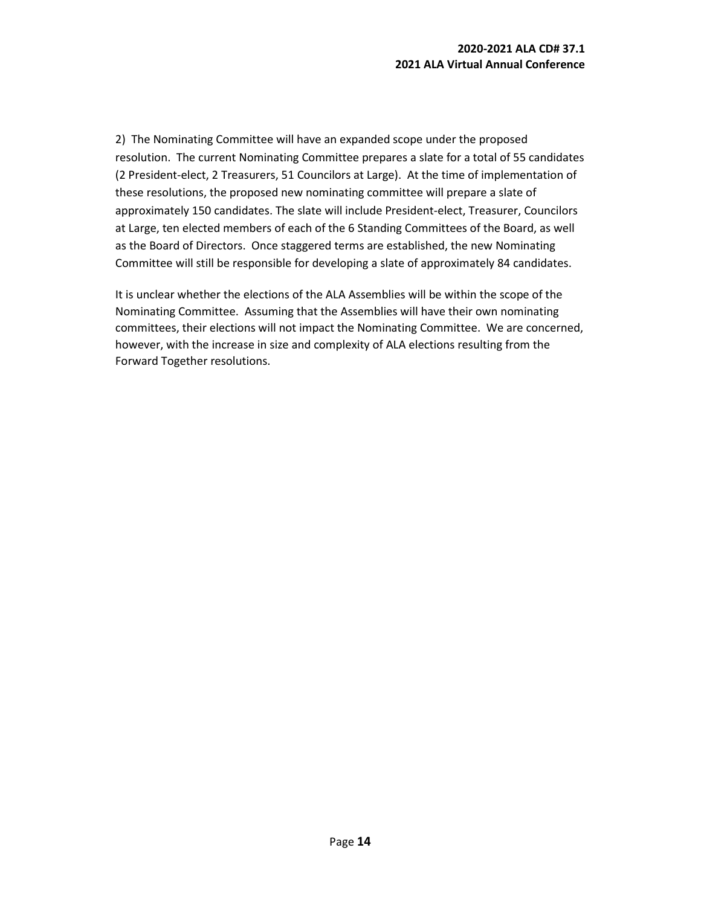2) The Nominating Committee will have an expanded scope under the proposed resolution. The current Nominating Committee prepares a slate for a total of 55 candidates (2 President-elect, 2 Treasurers, 51 Councilors at Large). At the time of implementation of these resolutions, the proposed new nominating committee will prepare a slate of approximately 150 candidates. The slate will include President-elect, Treasurer, Councilors at Large, ten elected members of each of the 6 Standing Committees of the Board, as well as the Board of Directors. Once staggered terms are established, the new Nominating Committee will still be responsible for developing a slate of approximately 84 candidates.

It is unclear whether the elections of the ALA Assemblies will be within the scope of the Nominating Committee. Assuming that the Assemblies will have their own nominating committees, their elections will not impact the Nominating Committee. We are concerned, however, with the increase in size and complexity of ALA elections resulting from the Forward Together resolutions.